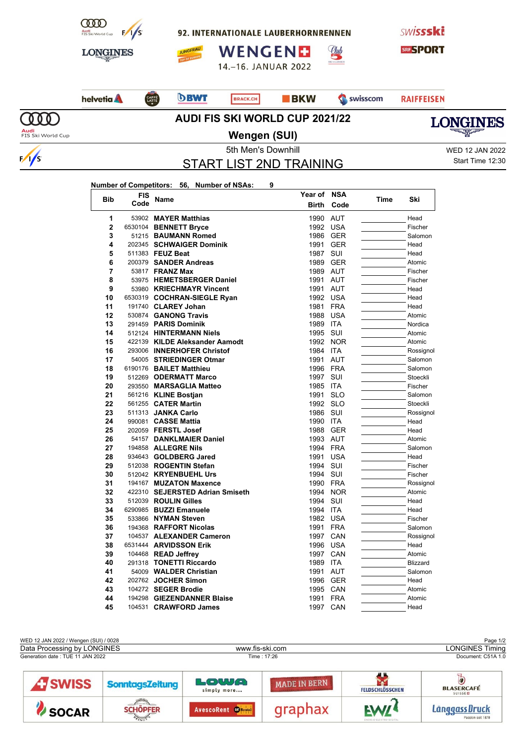

92. INTERNATIONALE LAUBERHORNRENNEN





14.-16. JANUAR 2022







**Number of Competitors: 56, Number of NSAs: 9**



<u>Ulub</u>



 $\sqrt{s}$ 

**Wengen (SUI)**

5th Men's Downhill WED 12 JAN 2022 Start Time 12:30

**LONGINES** 

## START LIST 2ND TRAINING

| <b>Bib</b>     | <b>FIS</b><br>Code | Name                            | Year of      | <b>NSA</b> | Time | Ski             |
|----------------|--------------------|---------------------------------|--------------|------------|------|-----------------|
|                |                    |                                 | <b>Birth</b> | Code       |      |                 |
| 1              |                    | 53902 MAYER Matthias            | 1990         | <b>AUT</b> |      | Head            |
| $\overline{2}$ |                    | 6530104 BENNETT Bryce           | 1992 USA     |            |      | Fischer         |
| 3              |                    | 51215 BAUMANN Romed             | 1986         | GER        |      | Salomon         |
| 4              |                    | 202345 SCHWAIGER Dominik        | 1991         | <b>GER</b> |      | Head            |
| 5              |                    | 511383 FEUZ Beat                | 1987         | SUI        |      | Head            |
| 6              |                    | 200379 SANDER Andreas           | 1989         | <b>GER</b> |      | Atomic          |
| 7              |                    | 53817 <b>FRANZ Max</b>          | 1989 AUT     |            |      | Fischer         |
| 8              |                    | 53975 HEMETSBERGER Daniel       | 1991         | <b>AUT</b> |      | Fischer         |
| 9              |                    | 53980 KRIECHMAYR Vincent        | 1991         | <b>AUT</b> |      | Head            |
| 10             |                    | 6530319 COCHRAN-SIEGLE Ryan     | 1992         | <b>USA</b> |      | Head            |
| 11             |                    | 191740 CLAREY Johan             | 1981         | <b>FRA</b> |      | Head            |
| 12             |                    | 530874 GANONG Travis            | 1988         | <b>USA</b> |      | Atomic          |
| 13             |                    | 291459 PARIS Dominik            | 1989         | <b>ITA</b> |      | Nordica         |
| 14             |                    | 512124 HINTERMANN Niels         | 1995         | SUI        |      | Atomic          |
| 15             |                    | 422139 KILDE Aleksander Aamodt  | 1992         | <b>NOR</b> |      | Atomic          |
| 16             |                    | 293006 INNERHOFER Christof      | 1984         | <b>ITA</b> |      | Rossignol       |
| 17             |                    | 54005 STRIEDINGER Otmar         | 1991         | <b>AUT</b> |      | Salomon         |
| 18             |                    | 6190176 BAILET Matthieu         | 1996         | <b>FRA</b> |      | Salomon         |
| 19             |                    | 512269 ODERMATT Marco           | 1997         | <b>SUI</b> |      | Stoeckli        |
| 20             |                    | 293550 MARSAGLIA Matteo         | 1985         | ITA        |      | Fischer         |
| 21             |                    | 561216 KLINE Bostian            | 1991         | <b>SLO</b> |      | Salomon         |
| 22             |                    | 561255 <b>CATER Martin</b>      | 1992         | <b>SLO</b> |      | Stoeckli        |
| 23             |                    | 511313 JANKA Carlo              | 1986         | SUI        |      | Rossignol       |
| 24             |                    | 990081 CASSE Mattia             | 1990         | <b>ITA</b> |      | Head            |
| 25             |                    | 202059 FERSTL Josef             | 1988         | <b>GER</b> |      | Head            |
| 26             |                    | 54157 DANKLMAIER Daniel         | 1993 AUT     |            |      | Atomic          |
| 27             |                    | 194858 ALLEGRE Nils             | 1994 FRA     |            |      | Salomon         |
| 28             |                    | 934643 GOLDBERG Jared           | 1991         | <b>USA</b> |      | Head            |
| 29             |                    | 512038 ROGENTIN Stefan          | 1994         | <b>SUI</b> |      | Fischer         |
| 30             |                    | 512042 KRYENBUEHL Urs           | 1994         | SUI        |      | Fischer         |
| 31             |                    | 194167 MUZATON Maxence          | 1990         | <b>FRA</b> |      | Rossignol       |
| 32             |                    | 422310 SEJERSTED Adrian Smiseth | 1994         | <b>NOR</b> |      | Atomic          |
| 33             |                    | 512039 ROULIN Gilles            | 1994         | SUI        |      | Head            |
| 34             |                    | 6290985 BUZZI Emanuele          | 1994         | <b>ITA</b> |      | Head            |
| 35             |                    | 533866 NYMAN Steven             | 1982 USA     |            |      | Fischer         |
| 36             |                    | 194368 RAFFORT Nicolas          | 1991         | <b>FRA</b> |      | Salomon         |
| 37             |                    | 104537 ALEXANDER Cameron        | 1997         | CAN        |      | Rossignol       |
| 38             |                    | 6531444 ARVIDSSON Erik          | 1996         | USA        |      | Head            |
| 39             |                    | 104468 READ Jeffrey             | 1997         | CAN        |      | Atomic          |
| 40             |                    | 291318 TONETTI Riccardo         | 1989         | ITA        |      | <b>Blizzard</b> |
| 41             |                    | 54009 WALDER Christian          | 1991         | <b>AUT</b> |      | Salomon         |
| 42             |                    | 202762 JOCHER Simon             | 1996         | <b>GER</b> |      | Head            |
| 43             |                    | 104272 SEGER Brodie             | 1995         | CAN        |      | Atomic          |
| 44             |                    | 194298 GIEZENDANNER Blaise      | 1991         | <b>FRA</b> |      | Atomic          |
| 45             |                    | 104531 CRAWFORD James           | 1997         | CAN        |      | Head            |

| WED 12 JAN 2022 / Wengen (SUI) / 0028<br>Page 1/2 |                        |                            |                     |                        |                                             |  |  |  |
|---------------------------------------------------|------------------------|----------------------------|---------------------|------------------------|---------------------------------------------|--|--|--|
| Data Processing by LONGINES                       |                        |                            | www.fis-ski.com     | <b>LONGINES Timing</b> |                                             |  |  |  |
| Generation date: TUE 11 JAN 2022                  |                        |                            | Time: 17:26         | Document: C51A 1.0     |                                             |  |  |  |
| <b>A</b> SWISS                                    | <b>SonntagsZeitung</b> | LOWA<br>simply more        | <b>MADE IN BERN</b> | <b>FELDSCHLÖSSCHEN</b> | Ō<br><b>BLASERCAFÉ</b><br><b>SUISSED</b>    |  |  |  |
| SOCAR                                             | /……<br><b>SCHOPFER</b> | AvescoRent <b>Contrast</b> | graphax             | <b>EW/4</b>            | Läng <u>gass Druck</u><br>Passion seit 1878 |  |  |  |